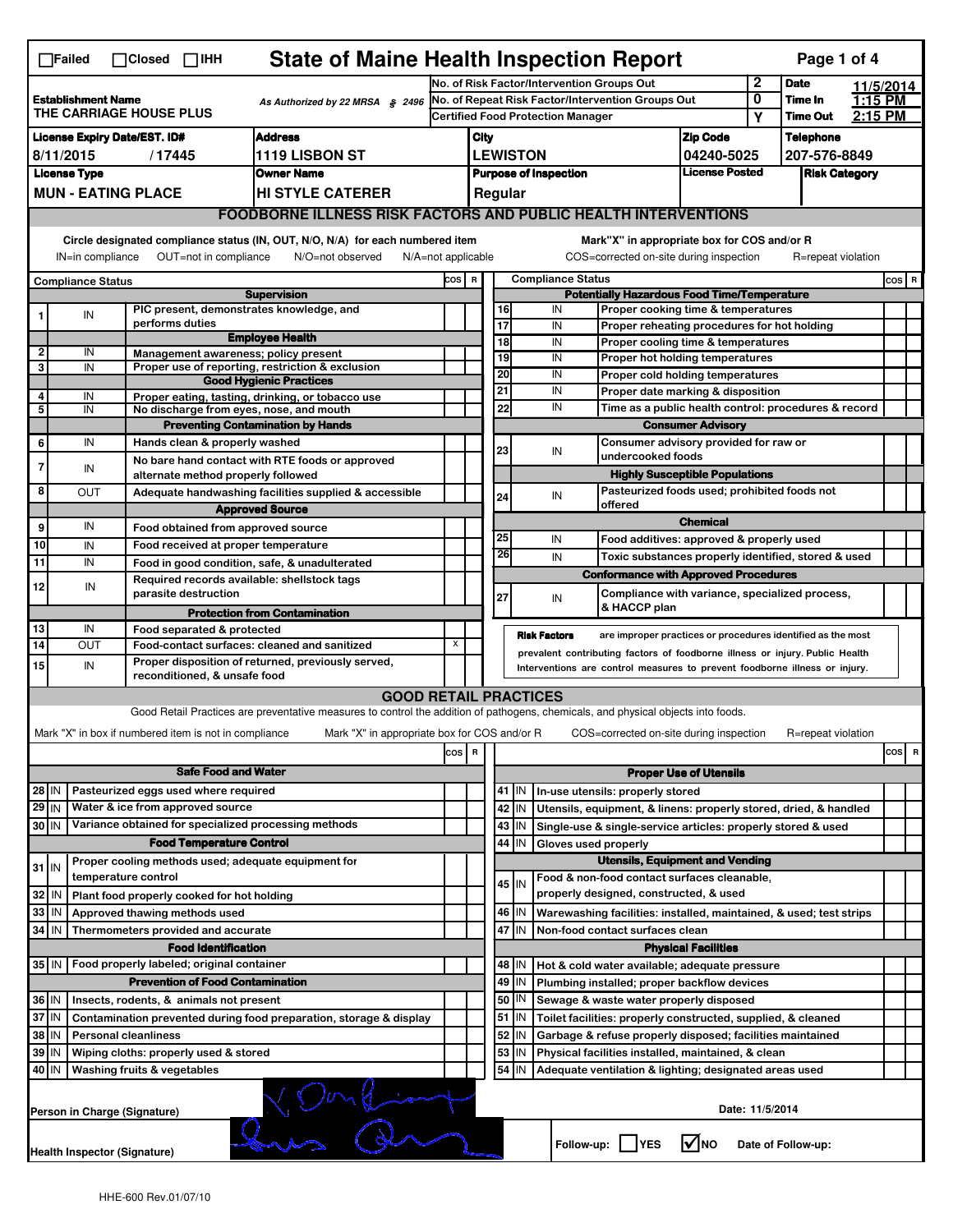|                                                                                                                                                                                                                                                                                           | $\Box$ Failed                                                                              |                     | $\Box$ Closed $\Box$ IHH                                                                                          | <b>State of Maine Health Inspection Report</b>                                                                                    |                                                   |                                                       |                                                                                                                                                            |         |                                          |                                                                       |                               |              | Page 1 of 4        |           |         |   |
|-------------------------------------------------------------------------------------------------------------------------------------------------------------------------------------------------------------------------------------------------------------------------------------------|--------------------------------------------------------------------------------------------|---------------------|-------------------------------------------------------------------------------------------------------------------|-----------------------------------------------------------------------------------------------------------------------------------|---------------------------------------------------|-------------------------------------------------------|------------------------------------------------------------------------------------------------------------------------------------------------------------|---------|------------------------------------------|-----------------------------------------------------------------------|-------------------------------|--------------|--------------------|-----------|---------|---|
|                                                                                                                                                                                                                                                                                           |                                                                                            |                     |                                                                                                                   |                                                                                                                                   |                                                   | No. of Risk Factor/Intervention Groups Out            |                                                                                                                                                            |         |                                          |                                                                       |                               | $\mathbf{2}$ | <b>Date</b>        | 11/5/2014 |         |   |
| <b>Establishment Name</b><br>As Authorized by 22 MRSA § 2496<br><b>THE CARRIAGE HOUSE PLUS</b>                                                                                                                                                                                            |                                                                                            |                     |                                                                                                                   |                                                                                                                                   | No. of Repeat Risk Factor/Intervention Groups Out |                                                       |                                                                                                                                                            |         |                                          | 0                                                                     | Time In                       | 1:15 PM      |                    |           |         |   |
|                                                                                                                                                                                                                                                                                           |                                                                                            |                     |                                                                                                                   |                                                                                                                                   |                                                   |                                                       |                                                                                                                                                            |         | <b>Certified Food Protection Manager</b> |                                                                       |                               | Υ            | <b>Time Out</b>    | 2:15 PM   |         |   |
|                                                                                                                                                                                                                                                                                           | <b>Address</b><br><b>License Expiry Date/EST. ID#</b>                                      |                     |                                                                                                                   |                                                                                                                                   |                                                   | City                                                  |                                                                                                                                                            |         |                                          |                                                                       | <b>Zip Code</b>               |              | <b>Telephone</b>   |           |         |   |
| 1119 LISBON ST<br>8/11/2015<br>/17445                                                                                                                                                                                                                                                     |                                                                                            |                     |                                                                                                                   |                                                                                                                                   |                                                   | <b>LEWISTON</b><br>04240-5025                         |                                                                                                                                                            |         |                                          |                                                                       |                               |              | 207-576-8849       |           |         |   |
|                                                                                                                                                                                                                                                                                           | <b>License Type</b><br><b>Owner Name</b>                                                   |                     |                                                                                                                   |                                                                                                                                   |                                                   | <b>License Posted</b><br><b>Purpose of Inspection</b> |                                                                                                                                                            |         |                                          |                                                                       | <b>Risk Category</b>          |              |                    |           |         |   |
|                                                                                                                                                                                                                                                                                           | <b>MUN - EATING PLACE</b><br><b>HI STYLE CATERER</b>                                       |                     |                                                                                                                   |                                                                                                                                   |                                                   |                                                       |                                                                                                                                                            | Regular |                                          |                                                                       |                               |              |                    |           |         |   |
| <b>FOODBORNE ILLNESS RISK FACTORS AND PUBLIC HEALTH INTERVENTIONS</b>                                                                                                                                                                                                                     |                                                                                            |                     |                                                                                                                   |                                                                                                                                   |                                                   |                                                       |                                                                                                                                                            |         |                                          |                                                                       |                               |              |                    |           |         |   |
| Circle designated compliance status (IN, OUT, N/O, N/A) for each numbered item<br>Mark"X" in appropriate box for COS and/or R<br>OUT=not in compliance<br>COS=corrected on-site during inspection<br>IN=in compliance<br>N/O=not observed<br>$N/A = not$ applicable<br>R=repeat violation |                                                                                            |                     |                                                                                                                   |                                                                                                                                   |                                                   |                                                       |                                                                                                                                                            |         |                                          |                                                                       |                               |              |                    |           |         |   |
|                                                                                                                                                                                                                                                                                           | <b>Compliance Status</b>                                                                   |                     |                                                                                                                   |                                                                                                                                   |                                                   |                                                       | <b>Compliance Status</b><br>COS R                                                                                                                          |         |                                          |                                                                       |                               |              |                    |           | $cos$ R |   |
|                                                                                                                                                                                                                                                                                           |                                                                                            |                     |                                                                                                                   | <b>Supervision</b>                                                                                                                |                                                   |                                                       | <b>Potentially Hazardous Food Time/Temperature</b>                                                                                                         |         |                                          |                                                                       |                               |              |                    |           |         |   |
|                                                                                                                                                                                                                                                                                           | IN                                                                                         |                     |                                                                                                                   | PIC present, demonstrates knowledge, and                                                                                          |                                                   |                                                       | 16                                                                                                                                                         |         | IN                                       | Proper cooking time & temperatures                                    |                               |              |                    |           |         |   |
|                                                                                                                                                                                                                                                                                           |                                                                                            |                     | performs duties                                                                                                   | <b>Employee Health</b>                                                                                                            |                                                   |                                                       | $\overline{17}$<br>$\overline{18}$                                                                                                                         |         | IN<br>IN                                 | Proper reheating procedures for hot holding                           |                               |              |                    |           |         |   |
| $\overline{2}$                                                                                                                                                                                                                                                                            | IN                                                                                         |                     | Management awareness; policy present                                                                              |                                                                                                                                   |                                                   |                                                       | 19                                                                                                                                                         |         | IN                                       | Proper cooling time & temperatures<br>Proper hot holding temperatures |                               |              |                    |           |         |   |
| 3                                                                                                                                                                                                                                                                                         | IN                                                                                         |                     |                                                                                                                   | Proper use of reporting, restriction & exclusion                                                                                  |                                                   |                                                       | 20                                                                                                                                                         |         | IN                                       | Proper cold holding temperatures                                      |                               |              |                    |           |         |   |
| 4                                                                                                                                                                                                                                                                                         |                                                                                            |                     |                                                                                                                   | <b>Good Hygienic Practices</b>                                                                                                    |                                                   |                                                       | 21                                                                                                                                                         |         | IN                                       | Proper date marking & disposition                                     |                               |              |                    |           |         |   |
| 5                                                                                                                                                                                                                                                                                         | IN<br>IN                                                                                   |                     |                                                                                                                   | Proper eating, tasting, drinking, or tobacco use<br>No discharge from eyes, nose, and mouth                                       |                                                   |                                                       | 22                                                                                                                                                         |         | IN                                       | Time as a public health control: procedures & record                  |                               |              |                    |           |         |   |
|                                                                                                                                                                                                                                                                                           |                                                                                            |                     |                                                                                                                   | <b>Preventing Contamination by Hands</b>                                                                                          |                                                   |                                                       | <b>Consumer Advisory</b>                                                                                                                                   |         |                                          |                                                                       |                               |              |                    |           |         |   |
| 6                                                                                                                                                                                                                                                                                         | IN                                                                                         |                     | Hands clean & properly washed                                                                                     |                                                                                                                                   |                                                   |                                                       |                                                                                                                                                            |         |                                          | Consumer advisory provided for raw or                                 |                               |              |                    |           |         |   |
| 7                                                                                                                                                                                                                                                                                         |                                                                                            |                     |                                                                                                                   | No bare hand contact with RTE foods or approved                                                                                   |                                                   |                                                       | 23                                                                                                                                                         |         | IN                                       | undercooked foods                                                     |                               |              |                    |           |         |   |
|                                                                                                                                                                                                                                                                                           | IN                                                                                         |                     | alternate method properly followed                                                                                |                                                                                                                                   |                                                   |                                                       |                                                                                                                                                            |         |                                          | <b>Highly Susceptible Populations</b>                                 |                               |              |                    |           |         |   |
| 8                                                                                                                                                                                                                                                                                         | <b>OUT</b>                                                                                 |                     | Pasteurized foods used; prohibited foods not<br>Adequate handwashing facilities supplied & accessible<br>24<br>IN |                                                                                                                                   |                                                   |                                                       |                                                                                                                                                            |         |                                          |                                                                       |                               |              |                    |           |         |   |
|                                                                                                                                                                                                                                                                                           |                                                                                            |                     |                                                                                                                   | <b>Approved Source</b>                                                                                                            |                                                   |                                                       |                                                                                                                                                            |         |                                          | offered                                                               | <b>Chemical</b>               |              |                    |           |         |   |
| 9                                                                                                                                                                                                                                                                                         | IN                                                                                         |                     | Food obtained from approved source                                                                                |                                                                                                                                   |                                                   |                                                       | 25                                                                                                                                                         |         | IN                                       | Food additives: approved & properly used                              |                               |              |                    |           |         |   |
| 10                                                                                                                                                                                                                                                                                        | IN                                                                                         |                     | Food received at proper temperature                                                                               |                                                                                                                                   |                                                   |                                                       | 26                                                                                                                                                         |         | IN                                       | Toxic substances properly identified, stored & used                   |                               |              |                    |           |         |   |
| 11                                                                                                                                                                                                                                                                                        | IN                                                                                         |                     |                                                                                                                   | Food in good condition, safe, & unadulterated                                                                                     |                                                   |                                                       |                                                                                                                                                            |         |                                          | <b>Conformance with Approved Procedures</b>                           |                               |              |                    |           |         |   |
| 12                                                                                                                                                                                                                                                                                        | IN                                                                                         |                     | parasite destruction                                                                                              | Required records available: shellstock tags                                                                                       |                                                   |                                                       |                                                                                                                                                            |         |                                          | Compliance with variance, specialized process,                        |                               |              |                    |           |         |   |
|                                                                                                                                                                                                                                                                                           |                                                                                            |                     |                                                                                                                   |                                                                                                                                   |                                                   |                                                       | 27                                                                                                                                                         |         | IN                                       | & HACCP plan                                                          |                               |              |                    |           |         |   |
| 13                                                                                                                                                                                                                                                                                        | IN                                                                                         |                     | Food separated & protected                                                                                        | <b>Protection from Contamination</b>                                                                                              |                                                   |                                                       |                                                                                                                                                            |         |                                          |                                                                       |                               |              |                    |           |         |   |
| $\overline{14}$                                                                                                                                                                                                                                                                           | OUT                                                                                        |                     |                                                                                                                   | Food-contact surfaces: cleaned and sanitized                                                                                      | X                                                 |                                                       |                                                                                                                                                            |         | <b>Risk Factors</b>                      | are improper practices or procedures identified as the most           |                               |              |                    |           |         |   |
| 15                                                                                                                                                                                                                                                                                        | IN                                                                                         |                     |                                                                                                                   | Proper disposition of returned, previously served,                                                                                |                                                   |                                                       | prevalent contributing factors of foodborne illness or injury. Public Health<br>Interventions are control measures to prevent foodborne illness or injury. |         |                                          |                                                                       |                               |              |                    |           |         |   |
|                                                                                                                                                                                                                                                                                           |                                                                                            |                     | reconditioned, & unsafe food                                                                                      |                                                                                                                                   |                                                   |                                                       |                                                                                                                                                            |         |                                          |                                                                       |                               |              |                    |           |         |   |
|                                                                                                                                                                                                                                                                                           |                                                                                            |                     |                                                                                                                   | <b>GOOD RETAIL PRACTICES</b>                                                                                                      |                                                   |                                                       |                                                                                                                                                            |         |                                          |                                                                       |                               |              |                    |           |         |   |
|                                                                                                                                                                                                                                                                                           |                                                                                            |                     |                                                                                                                   | Good Retail Practices are preventative measures to control the addition of pathogens, chemicals, and physical objects into foods. |                                                   |                                                       |                                                                                                                                                            |         |                                          |                                                                       |                               |              |                    |           |         |   |
|                                                                                                                                                                                                                                                                                           |                                                                                            |                     | Mark "X" in box if numbered item is not in compliance                                                             | Mark "X" in appropriate box for COS and/or R                                                                                      |                                                   |                                                       |                                                                                                                                                            |         |                                          | COS=corrected on-site during inspection                               |                               |              | R=repeat violation |           |         |   |
|                                                                                                                                                                                                                                                                                           |                                                                                            |                     |                                                                                                                   |                                                                                                                                   | cos                                               | R                                                     |                                                                                                                                                            |         |                                          |                                                                       |                               |              |                    |           | cos     | R |
| <b>Safe Food and Water</b>                                                                                                                                                                                                                                                                |                                                                                            |                     |                                                                                                                   |                                                                                                                                   |                                                   |                                                       |                                                                                                                                                            |         |                                          |                                                                       | <b>Proper Use of Utensils</b> |              |                    |           |         |   |
| 28 IN                                                                                                                                                                                                                                                                                     |                                                                                            |                     | Pasteurized eggs used where required                                                                              |                                                                                                                                   |                                                   |                                                       |                                                                                                                                                            | 41 IN   |                                          | In-use utensils: properly stored                                      |                               |              |                    |           |         |   |
| 29 IN                                                                                                                                                                                                                                                                                     |                                                                                            |                     | Water & ice from approved source                                                                                  |                                                                                                                                   |                                                   |                                                       |                                                                                                                                                            | 42 IN   |                                          | Utensils, equipment, & linens: properly stored, dried, & handled      |                               |              |                    |           |         |   |
| 30 IN                                                                                                                                                                                                                                                                                     |                                                                                            |                     |                                                                                                                   | Variance obtained for specialized processing methods                                                                              |                                                   |                                                       |                                                                                                                                                            | 43   IN |                                          | Single-use & single-service articles: properly stored & used          |                               |              |                    |           |         |   |
| <b>Food Temperature Control</b>                                                                                                                                                                                                                                                           |                                                                                            |                     |                                                                                                                   |                                                                                                                                   |                                                   |                                                       | 44                                                                                                                                                         | IN      | Gloves used properly                     |                                                                       |                               |              |                    |           |         |   |
| $31$ IN                                                                                                                                                                                                                                                                                   |                                                                                            |                     |                                                                                                                   | Proper cooling methods used; adequate equipment for                                                                               |                                                   |                                                       |                                                                                                                                                            |         |                                          | <b>Utensils, Equipment and Vending</b>                                |                               |              |                    |           |         |   |
|                                                                                                                                                                                                                                                                                           |                                                                                            | temperature control |                                                                                                                   |                                                                                                                                   |                                                   |                                                       |                                                                                                                                                            | 45 IN   |                                          | Food & non-food contact surfaces cleanable,                           |                               |              |                    |           |         |   |
| 32                                                                                                                                                                                                                                                                                        | IN                                                                                         |                     | Plant food properly cooked for hot holding                                                                        |                                                                                                                                   |                                                   |                                                       |                                                                                                                                                            |         |                                          | properly designed, constructed, & used                                |                               |              |                    |           |         |   |
| 33                                                                                                                                                                                                                                                                                        | IN                                                                                         |                     | Approved thawing methods used                                                                                     |                                                                                                                                   |                                                   |                                                       |                                                                                                                                                            | 46   IN |                                          | Warewashing facilities: installed, maintained, & used; test strips    |                               |              |                    |           |         |   |
| 34                                                                                                                                                                                                                                                                                        | l IN                                                                                       |                     | Thermometers provided and accurate                                                                                |                                                                                                                                   |                                                   |                                                       | 47                                                                                                                                                         | IN      |                                          | Non-food contact surfaces clean                                       |                               |              |                    |           |         |   |
|                                                                                                                                                                                                                                                                                           |                                                                                            |                     | <b>Food Identification</b>                                                                                        |                                                                                                                                   |                                                   |                                                       | <b>Physical Facilities</b>                                                                                                                                 |         |                                          |                                                                       |                               |              |                    |           |         |   |
| Food properly labeled; original container<br>35   IN                                                                                                                                                                                                                                      |                                                                                            |                     |                                                                                                                   |                                                                                                                                   |                                                   |                                                       |                                                                                                                                                            | 48   IN |                                          | Hot & cold water available; adequate pressure                         |                               |              |                    |           |         |   |
|                                                                                                                                                                                                                                                                                           |                                                                                            |                     | <b>Prevention of Food Contamination</b>                                                                           |                                                                                                                                   |                                                   |                                                       |                                                                                                                                                            | 49 IN   |                                          | Plumbing installed; proper backflow devices                           |                               |              |                    |           |         |   |
| 36 IN                                                                                                                                                                                                                                                                                     |                                                                                            |                     | Insects, rodents, & animals not present                                                                           |                                                                                                                                   |                                                   |                                                       |                                                                                                                                                            | 50   IN |                                          | Sewage & waste water properly disposed                                |                               |              |                    |           |         |   |
| 37 IN                                                                                                                                                                                                                                                                                     |                                                                                            |                     |                                                                                                                   | Contamination prevented during food preparation, storage & display                                                                |                                                   |                                                       |                                                                                                                                                            | 51   IN |                                          | Toilet facilities: properly constructed, supplied, & cleaned          |                               |              |                    |           |         |   |
| 38 IN<br><b>Personal cleanliness</b>                                                                                                                                                                                                                                                      |                                                                                            |                     |                                                                                                                   |                                                                                                                                   |                                                   |                                                       | 52                                                                                                                                                         | IN      |                                          | Garbage & refuse properly disposed; facilities maintained             |                               |              |                    |           |         |   |
| 39 IN<br>Wiping cloths: properly used & stored<br>Washing fruits & vegetables                                                                                                                                                                                                             |                                                                                            |                     |                                                                                                                   |                                                                                                                                   |                                                   |                                                       | 53                                                                                                                                                         | IN      |                                          | Physical facilities installed, maintained, & clean                    |                               |              |                    |           |         |   |
| 40 IN                                                                                                                                                                                                                                                                                     |                                                                                            |                     |                                                                                                                   |                                                                                                                                   |                                                   |                                                       |                                                                                                                                                            | 54 IN   |                                          | Adequate ventilation & lighting; designated areas used                |                               |              |                    |           |         |   |
|                                                                                                                                                                                                                                                                                           | Person in Charge (Signature)                                                               |                     |                                                                                                                   |                                                                                                                                   |                                                   |                                                       |                                                                                                                                                            |         |                                          |                                                                       | Date: 11/5/2014               |              |                    |           |         |   |
|                                                                                                                                                                                                                                                                                           | l√lno<br>Follow-up:  <br><b>IYES</b><br>Date of Follow-up:<br>Health Inspector (Signature) |                     |                                                                                                                   |                                                                                                                                   |                                                   |                                                       |                                                                                                                                                            |         |                                          |                                                                       |                               |              |                    |           |         |   |
|                                                                                                                                                                                                                                                                                           |                                                                                            |                     |                                                                                                                   |                                                                                                                                   |                                                   |                                                       |                                                                                                                                                            |         |                                          |                                                                       |                               |              |                    |           |         |   |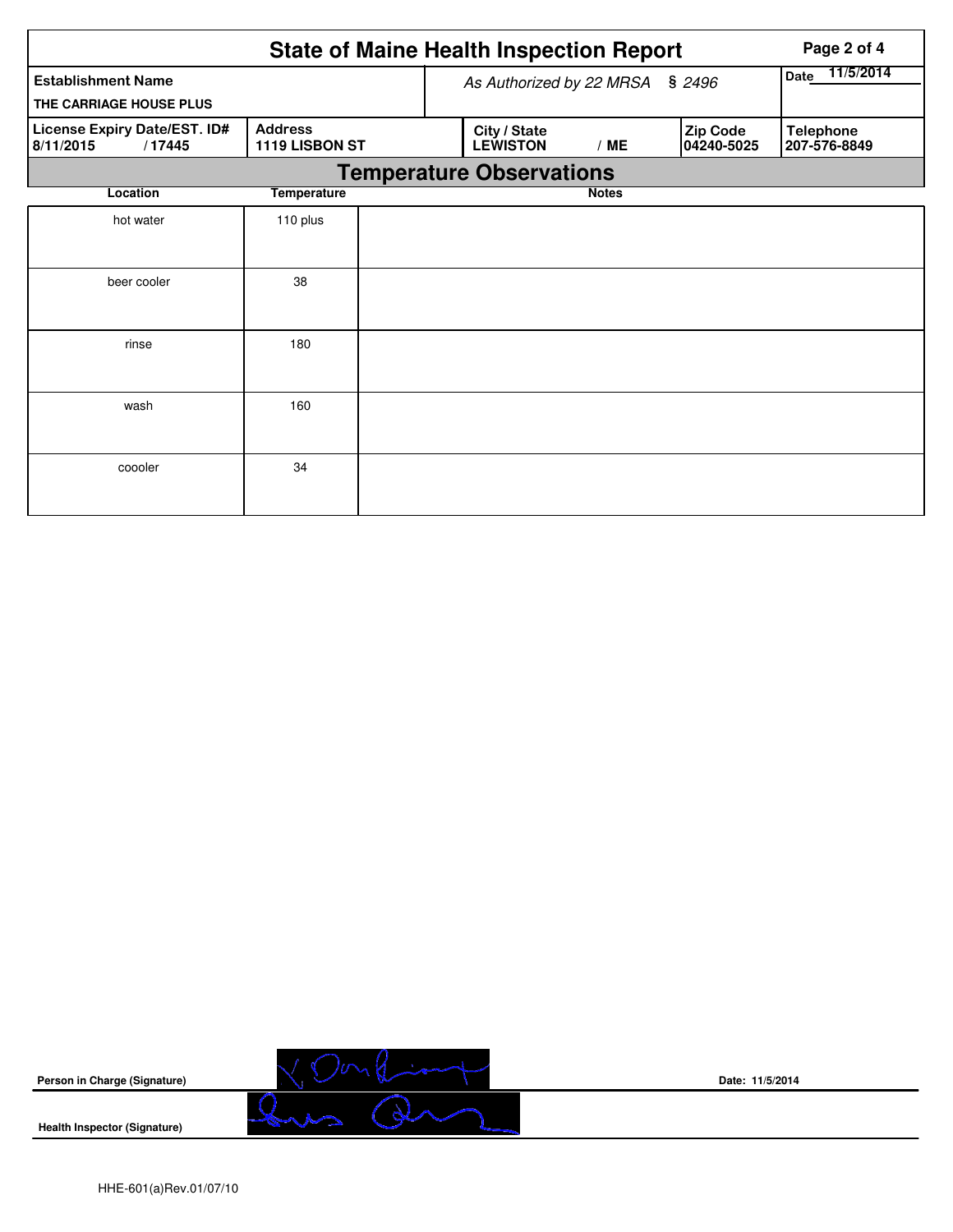|                                                      |                                  |  | <b>State of Maine Health Inspection Report</b> | Page 2 of 4  |                        |                                  |  |  |  |  |
|------------------------------------------------------|----------------------------------|--|------------------------------------------------|--------------|------------------------|----------------------------------|--|--|--|--|
| <b>Establishment Name</b><br>THE CARRIAGE HOUSE PLUS |                                  |  | As Authorized by 22 MRSA § 2496                |              |                        | 11/5/2014<br>Date                |  |  |  |  |
| License Expiry Date/EST. ID#<br>8/11/2015<br>/17445  | <b>Address</b><br>1119 LISBON ST |  | City / State<br><b>LEWISTON</b>                | /ME          | Zip Code<br>04240-5025 | <b>Telephone</b><br>207-576-8849 |  |  |  |  |
| <b>Temperature Observations</b>                      |                                  |  |                                                |              |                        |                                  |  |  |  |  |
| Location                                             | <b>Temperature</b>               |  |                                                | <b>Notes</b> |                        |                                  |  |  |  |  |
| hot water                                            | 110 plus                         |  |                                                |              |                        |                                  |  |  |  |  |
| beer cooler                                          | 38                               |  |                                                |              |                        |                                  |  |  |  |  |
| rinse                                                | 180                              |  |                                                |              |                        |                                  |  |  |  |  |
| wash                                                 | 160                              |  |                                                |              |                        |                                  |  |  |  |  |
| coooler                                              | 34                               |  |                                                |              |                        |                                  |  |  |  |  |

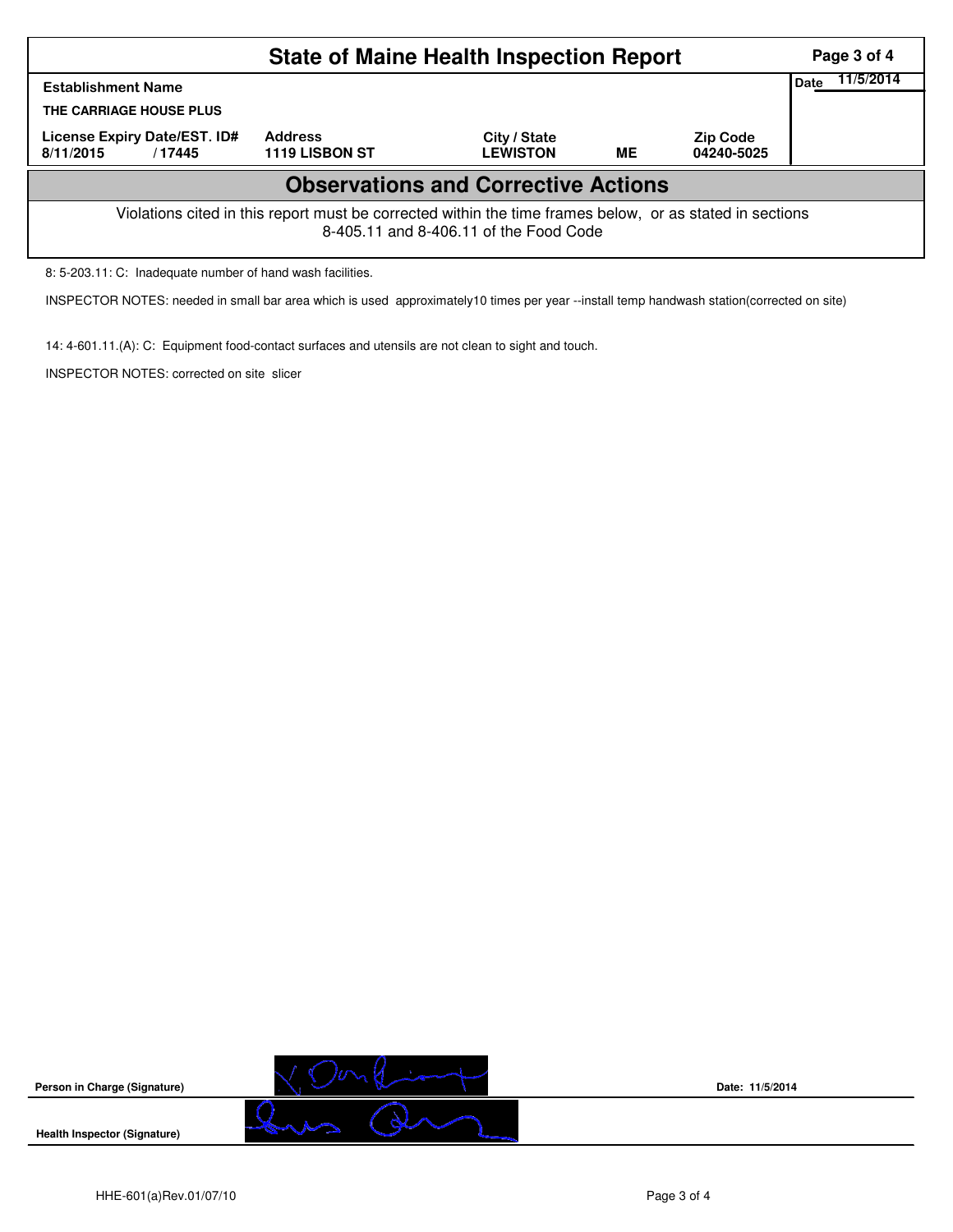| <b>State of Maine Health Inspection Report</b>                                                                                                     |                                  |                                 |           |                               |  |  |  |  |  |
|----------------------------------------------------------------------------------------------------------------------------------------------------|----------------------------------|---------------------------------|-----------|-------------------------------|--|--|--|--|--|
| <b>Establishment Name</b>                                                                                                                          | Date                             | 11/5/2014                       |           |                               |  |  |  |  |  |
| THE CARRIAGE HOUSE PLUS                                                                                                                            |                                  |                                 |           |                               |  |  |  |  |  |
| License Expiry Date/EST. ID#<br>8/11/2015<br>/17445                                                                                                | <b>Address</b><br>1119 LISBON ST | City / State<br><b>LEWISTON</b> | <b>ME</b> | <b>Zip Code</b><br>04240-5025 |  |  |  |  |  |
| <b>Observations and Corrective Actions</b>                                                                                                         |                                  |                                 |           |                               |  |  |  |  |  |
| Violations cited in this report must be corrected within the time frames below, or as stated in sections<br>8-405.11 and 8-406.11 of the Food Code |                                  |                                 |           |                               |  |  |  |  |  |

8: 5-203.11: C: Inadequate number of hand wash facilities.

INSPECTOR NOTES: needed in small bar area which is used approximately10 times per year --install temp handwash station(corrected on site)

14: 4-601.11.(A): C: Equipment food-contact surfaces and utensils are not clean to sight and touch.

INSPECTOR NOTES: corrected on site slicer



**Date: 11/5/2014**

HHE-601(a)Rev.01/07/10 Page 3 of 4